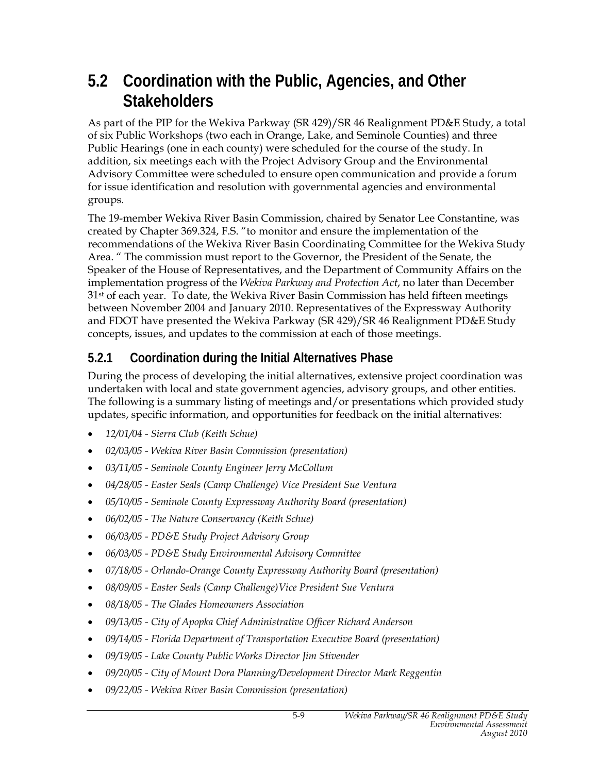## **5.2 Coordination with the Public, Agencies, and Other Stakeholders**

As part of the PIP for the Wekiva Parkway (SR 429)/SR 46 Realignment PD&E Study, a total of six Public Workshops (two each in Orange, Lake, and Seminole Counties) and three Public Hearings (one in each county) were scheduled for the course of the study. In addition, six meetings each with the Project Advisory Group and the Environmental Advisory Committee were scheduled to ensure open communication and provide a forum for issue identification and resolution with governmental agencies and environmental groups.

The 19-member Wekiva River Basin Commission, chaired by Senator Lee Constantine, was created by Chapter 369.324, F.S. "to monitor and ensure the implementation of the recommendations of the Wekiva River Basin Coordinating Committee for the Wekiva Study Area. " The commission must report to the Governor, the President of the Senate, the Speaker of the House of Representatives, and the Department of Community Affairs on the implementation progress of the *Wekiva Parkway and Protection Act*, no later than December 31st of each year. To date, the Wekiva River Basin Commission has held fifteen meetings between November 2004 and January 2010. Representatives of the Expressway Authority and FDOT have presented the Wekiva Parkway (SR 429)/SR 46 Realignment PD&E Study concepts, issues, and updates to the commission at each of those meetings.

#### **5.2.1 Coordination during the Initial Alternatives Phase**

During the process of developing the initial alternatives, extensive project coordination was undertaken with local and state government agencies, advisory groups, and other entities. The following is a summary listing of meetings and/or presentations which provided study updates, specific information, and opportunities for feedback on the initial alternatives:

- *12/01/04 Sierra Club (Keith Schue)*
- *02/03/05 Wekiva River Basin Commission (presentation)*
- *03/11/05 Seminole County Engineer Jerry McCollum*
- *04/28/05 Easter Seals (Camp Challenge) Vice President Sue Ventura*
- *05/10/05 Seminole County Expressway Authority Board (presentation)*
- *06/02/05 The Nature Conservancy (Keith Schue)*
- *06/03/05 PD&E Study Project Advisory Group*
- *06/03/05 PD&E Study Environmental Advisory Committee*
- *07/18/05 Orlando-Orange County Expressway Authority Board (presentation)*
- *08/09/05 Easter Seals (Camp Challenge)Vice President Sue Ventura*
- *08/18/05 The Glades Homeowners Association*
- *09/13/05 City of Apopka Chief Administrative Officer Richard Anderson*
- *09/14/05 Florida Department of Transportation Executive Board (presentation)*
- *09/19/05 Lake County Public Works Director Jim Stivender*
- *09/20/05 City of Mount Dora Planning/Development Director Mark Reggentin*
- *09/22/05 Wekiva River Basin Commission (presentation)*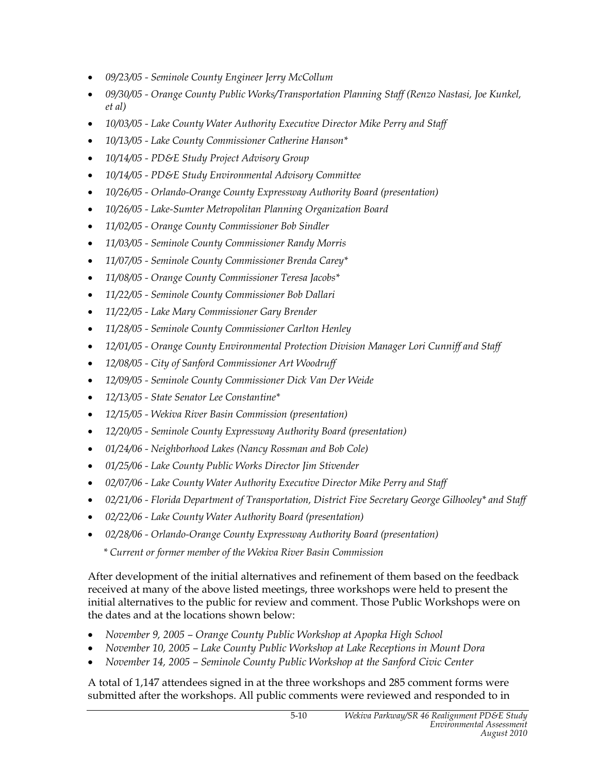- *09/23/05 Seminole County Engineer Jerry McCollum*
- *09/30/05 Orange County Public Works/Transportation Planning Staff (Renzo Nastasi, Joe Kunkel, et al)*
- *10/03/05 Lake County Water Authority Executive Director Mike Perry and Staff*
- *10/13/05 Lake County Commissioner Catherine Hanson\**
- *10/14/05 PD&E Study Project Advisory Group*
- *10/14/05 PD&E Study Environmental Advisory Committee*
- *10/26/05 Orlando-Orange County Expressway Authority Board (presentation)*
- *10/26/05 Lake-Sumter Metropolitan Planning Organization Board*
- *11/02/05 Orange County Commissioner Bob Sindler*
- *11/03/05 Seminole County Commissioner Randy Morris*
- *11/07/05 Seminole County Commissioner Brenda Carey\**
- *11/08/05 Orange County Commissioner Teresa Jacobs\**
- *11/22/05 Seminole County Commissioner Bob Dallari*
- *11/22/05 Lake Mary Commissioner Gary Brender*
- *11/28/05 Seminole County Commissioner Carlton Henley*
- *12/01/05 Orange County Environmental Protection Division Manager Lori Cunniff and Staff*
- *12/08/05 City of Sanford Commissioner Art Woodruff*
- *12/09/05 Seminole County Commissioner Dick Van Der Weide*
- *12/13/05 State Senator Lee Constantine\**
- *12/15/05 Wekiva River Basin Commission (presentation)*
- *12/20/05 Seminole County Expressway Authority Board (presentation)*
- *01/24/06 Neighborhood Lakes (Nancy Rossman and Bob Cole)*
- *01/25/06 Lake County Public Works Director Jim Stivender*
- *02/07/06 Lake County Water Authority Executive Director Mike Perry and Staff*
- *02/21/06 Florida Department of Transportation, District Five Secretary George Gilhooley\* and Staff*
- *02/22/06 Lake County Water Authority Board (presentation)*
- *02/28/06 Orlando-Orange County Expressway Authority Board (presentation)*

 *\* Current or former member of the Wekiva River Basin Commission*

After development of the initial alternatives and refinement of them based on the feedback received at many of the above listed meetings, three workshops were held to present the initial alternatives to the public for review and comment. Those Public Workshops were on the dates and at the locations shown below:

- *November 9, 2005 Orange County Public Workshop at Apopka High School*
- *November 10, 2005 Lake County Public Workshop at Lake Receptions in Mount Dora*
- *November 14, 2005 Seminole County Public Workshop at the Sanford Civic Center*

A total of 1,147 attendees signed in at the three workshops and 285 comment forms were submitted after the workshops. All public comments were reviewed and responded to in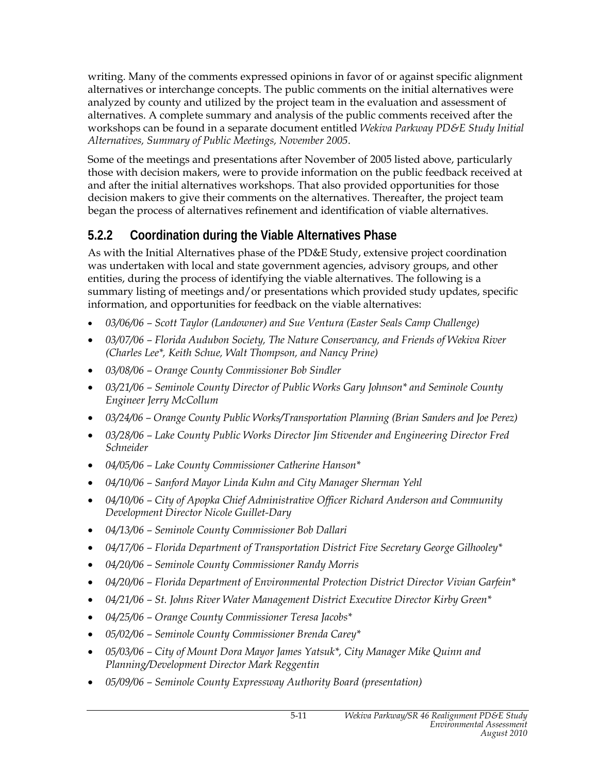writing. Many of the comments expressed opinions in favor of or against specific alignment alternatives or interchange concepts. The public comments on the initial alternatives were analyzed by county and utilized by the project team in the evaluation and assessment of alternatives. A complete summary and analysis of the public comments received after the workshops can be found in a separate document entitled *Wekiva Parkway PD&E Study Initial Alternatives, Summary of Public Meetings, November 2005*.

Some of the meetings and presentations after November of 2005 listed above, particularly those with decision makers, were to provide information on the public feedback received at and after the initial alternatives workshops. That also provided opportunities for those decision makers to give their comments on the alternatives. Thereafter, the project team began the process of alternatives refinement and identification of viable alternatives.

#### **5.2.2 Coordination during the Viable Alternatives Phase**

As with the Initial Alternatives phase of the PD&E Study, extensive project coordination was undertaken with local and state government agencies, advisory groups, and other entities, during the process of identifying the viable alternatives. The following is a summary listing of meetings and/or presentations which provided study updates, specific information, and opportunities for feedback on the viable alternatives:

- *03/06/06 Scott Taylor (Landowner) and Sue Ventura (Easter Seals Camp Challenge)*
- *03/07/06 Florida Audubon Society, The Nature Conservancy, and Friends of Wekiva River (Charles Lee\*, Keith Schue, Walt Thompson, and Nancy Prine)*
- *03/08/06 Orange County Commissioner Bob Sindler*
- *03/21/06 Seminole County Director of Public Works Gary Johnson\* and Seminole County Engineer Jerry McCollum*
- *03/24/06 Orange County Public Works/Transportation Planning (Brian Sanders and Joe Perez)*
- *03/28/06 Lake County Public Works Director Jim Stivender and Engineering Director Fred Schneider*
- *04/05/06 Lake County Commissioner Catherine Hanson\**
- *04/10/06 Sanford Mayor Linda Kuhn and City Manager Sherman Yehl*
- *04/10/06 City of Apopka Chief Administrative Officer Richard Anderson and Community Development Director Nicole Guillet-Dary*
- *04/13/06 Seminole County Commissioner Bob Dallari*
- *04/17/06 Florida Department of Transportation District Five Secretary George Gilhooley\**
- *04/20/06 Seminole County Commissioner Randy Morris*
- *04/20/06 Florida Department of Environmental Protection District Director Vivian Garfein\**
- *04/21/06 St. Johns River Water Management District Executive Director Kirby Green\**
- *04/25/06 Orange County Commissioner Teresa Jacobs\**
- *05/02/06 Seminole County Commissioner Brenda Carey\**
- *05/03/06 City of Mount Dora Mayor James Yatsuk\*, City Manager Mike Quinn and Planning/Development Director Mark Reggentin*
- *05/09/06 Seminole County Expressway Authority Board (presentation)*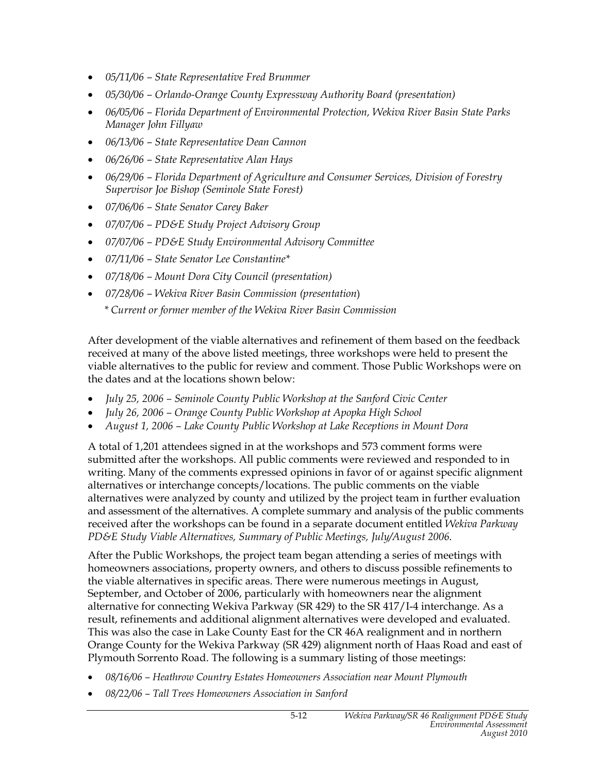- *05/11/06 State Representative Fred Brummer*
- *05/30/06 Orlando-Orange County Expressway Authority Board (presentation)*
- *06/05/06 Florida Department of Environmental Protection, Wekiva River Basin State Parks Manager John Fillyaw*
- *06/13/06 State Representative Dean Cannon*
- *06/26/06 State Representative Alan Hays*
- *06/29/06 Florida Department of Agriculture and Consumer Services, Division of Forestry Supervisor Joe Bishop (Seminole State Forest)*
- *07/06/06 State Senator Carey Baker*
- *07/07/06 PD&E Study Project Advisory Group*
- *07/07/06 PD&E Study Environmental Advisory Committee*
- *07/11/06 State Senator Lee Constantine\**
- *07/18/06 Mount Dora City Council (presentation)*
- *07/28/06 Wekiva River Basin Commission (presentation*)  *\* Current or former member of the Wekiva River Basin Commission*

After development of the viable alternatives and refinement of them based on the feedback received at many of the above listed meetings, three workshops were held to present the viable alternatives to the public for review and comment. Those Public Workshops were on the dates and at the locations shown below:

- *July 25, 2006 Seminole County Public Workshop at the Sanford Civic Center*
- *July 26, 2006 Orange County Public Workshop at Apopka High School*
- *August 1, 2006 Lake County Public Workshop at Lake Receptions in Mount Dora*

A total of 1,201 attendees signed in at the workshops and 573 comment forms were submitted after the workshops. All public comments were reviewed and responded to in writing. Many of the comments expressed opinions in favor of or against specific alignment alternatives or interchange concepts/locations. The public comments on the viable alternatives were analyzed by county and utilized by the project team in further evaluation and assessment of the alternatives. A complete summary and analysis of the public comments received after the workshops can be found in a separate document entitled *Wekiva Parkway PD&E Study Viable Alternatives, Summary of Public Meetings, July/August 2006*.

After the Public Workshops, the project team began attending a series of meetings with homeowners associations, property owners, and others to discuss possible refinements to the viable alternatives in specific areas. There were numerous meetings in August, September, and October of 2006, particularly with homeowners near the alignment alternative for connecting Wekiva Parkway (SR 429) to the SR 417/I-4 interchange. As a result, refinements and additional alignment alternatives were developed and evaluated. This was also the case in Lake County East for the CR 46A realignment and in northern Orange County for the Wekiva Parkway (SR 429) alignment north of Haas Road and east of Plymouth Sorrento Road. The following is a summary listing of those meetings:

- *08/16/06 Heathrow Country Estates Homeowners Association near Mount Plymouth*
- *08/22/06 Tall Trees Homeowners Association in Sanford*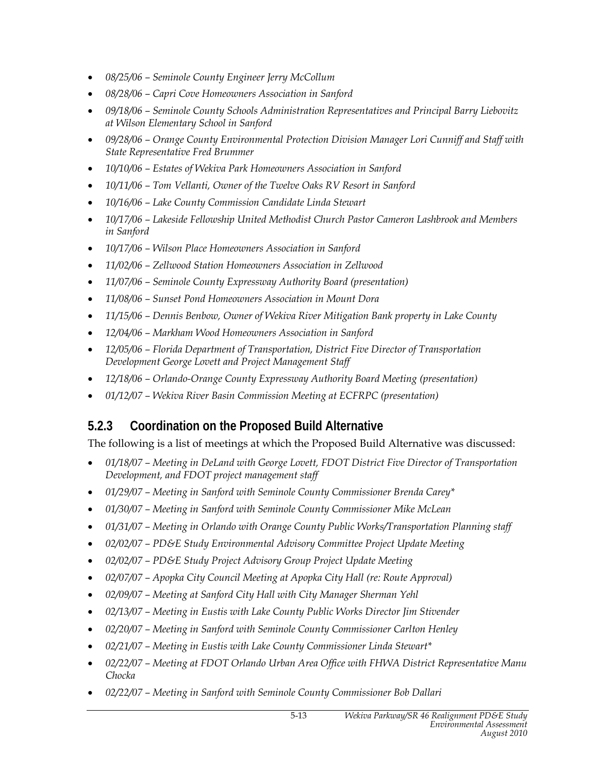- *08/25/06 Seminole County Engineer Jerry McCollum*
- *08/28/06 Capri Cove Homeowners Association in Sanford*
- *09/18/06 Seminole County Schools Administration Representatives and Principal Barry Liebovitz at Wilson Elementary School in Sanford*
- *09/28/06 Orange County Environmental Protection Division Manager Lori Cunniff and Staff with State Representative Fred Brummer*
- *10/10/06 Estates of Wekiva Park Homeowners Association in Sanford*
- *10/11/06 Tom Vellanti, Owner of the Twelve Oaks RV Resort in Sanford*
- *10/16/06 Lake County Commission Candidate Linda Stewart*
- *10/17/06 Lakeside Fellowship United Methodist Church Pastor Cameron Lashbrook and Members in Sanford*
- *10/17/06 Wilson Place Homeowners Association in Sanford*
- *11/02/06 Zellwood Station Homeowners Association in Zellwood*
- *11/07/06 Seminole County Expressway Authority Board (presentation)*
- *11/08/06 Sunset Pond Homeowners Association in Mount Dora*
- *11/15/06 Dennis Benbow, Owner of Wekiva River Mitigation Bank property in Lake County*
- *12/04/06 Markham Wood Homeowners Association in Sanford*
- *12/05/06 Florida Department of Transportation, District Five Director of Transportation Development George Lovett and Project Management Staff*
- *12/18/06 Orlando-Orange County Expressway Authority Board Meeting (presentation)*
- *01/12/07 Wekiva River Basin Commission Meeting at ECFRPC (presentation)*

#### **5.2.3 Coordination on the Proposed Build Alternative**

The following is a list of meetings at which the Proposed Build Alternative was discussed:

- *01/18/07 Meeting in DeLand with George Lovett, FDOT District Five Director of Transportation Development, and FDOT project management staff*
- *01/29/07 Meeting in Sanford with Seminole County Commissioner Brenda Carey\**
- *01/30/07 Meeting in Sanford with Seminole County Commissioner Mike McLean*
- *01/31/07 Meeting in Orlando with Orange County Public Works/Transportation Planning staff*
- *02/02/07 PD&E Study Environmental Advisory Committee Project Update Meeting*
- *02/02/07 PD&E Study Project Advisory Group Project Update Meeting*
- *02/07/07 Apopka City Council Meeting at Apopka City Hall (re: Route Approval)*
- *02/09/07 Meeting at Sanford City Hall with City Manager Sherman Yehl*
- 02/13/07 Meeting in Eustis with Lake County Public Works Director Jim Stivender
- *02/20/07 Meeting in Sanford with Seminole County Commissioner Carlton Henley*
- *02/21/07 Meeting in Eustis with Lake County Commissioner Linda Stewart\**
- *02/22/07 Meeting at FDOT Orlando Urban Area Office with FHWA District Representative Manu Chocka*
- *02/22/07 Meeting in Sanford with Seminole County Commissioner Bob Dallari*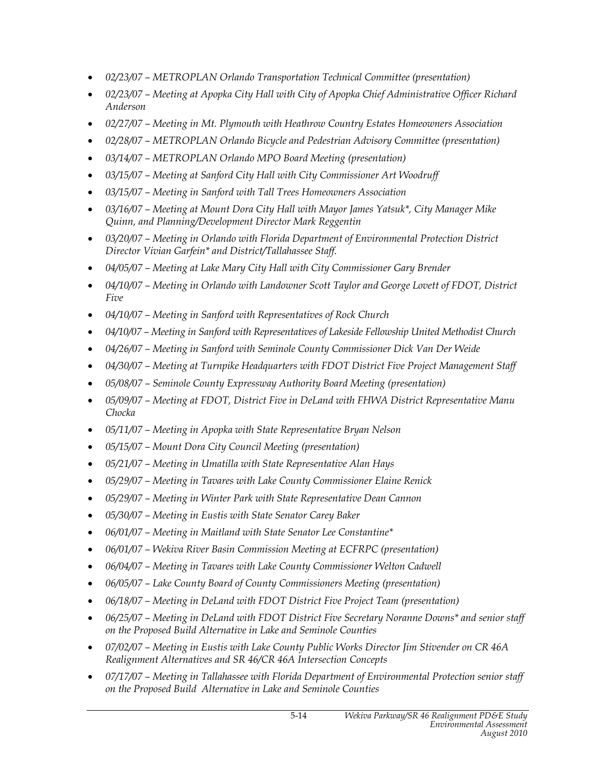- *02/23/07 METROPLAN Orlando Transportation Technical Committee (presentation)*
- *02/23/07 Meeting at Apopka City Hall with City of Apopka Chief Administrative Officer Richard Anderson*
- *02/27/07 Meeting in Mt. Plymouth with Heathrow Country Estates Homeowners Association*
- *02/28/07 METROPLAN Orlando Bicycle and Pedestrian Advisory Committee (presentation)*
- *03/14/07 METROPLAN Orlando MPO Board Meeting (presentation)*
- *03/15/07 Meeting at Sanford City Hall with City Commissioner Art Woodruff*
- *03/15/07 Meeting in Sanford with Tall Trees Homeowners Association*
- *03/16/07 Meeting at Mount Dora City Hall with Mayor James Yatsuk\*, City Manager Mike Quinn, and Planning/Development Director Mark Reggentin*
- *03/20/07 Meeting in Orlando with Florida Department of Environmental Protection District Director Vivian Garfein\* and District/Tallahassee Staff.*
- *04/05/07 Meeting at Lake Mary City Hall with City Commissioner Gary Brender*
- *04/10/07 Meeting in Orlando with Landowner Scott Taylor and George Lovett of FDOT, District Five*
- *04/10/07 Meeting in Sanford with Representatives of Rock Church*
- *04/10/07 Meeting in Sanford with Representatives of Lakeside Fellowship United Methodist Church*
- *04/26/07 Meeting in Sanford with Seminole County Commissioner Dick Van Der Weide*
- *04/30/07 Meeting at Turnpike Headquarters with FDOT District Five Project Management Staff*
- *05/08/07 Seminole County Expressway Authority Board Meeting (presentation)*
- *05/09/07 Meeting at FDOT, District Five in DeLand with FHWA District Representative Manu Chocka*
- *05/11/07 Meeting in Apopka with State Representative Bryan Nelson*
- *05/15/07 Mount Dora City Council Meeting (presentation)*
- *05/21/07 Meeting in Umatilla with State Representative Alan Hays*
- *05/29/07 Meeting in Tavares with Lake County Commissioner Elaine Renick*
- *05/29/07 Meeting in Winter Park with State Representative Dean Cannon*
- *05/30/07 Meeting in Eustis with State Senator Carey Baker*
- *06/01/07 Meeting in Maitland with State Senator Lee Constantine\**
- *06/01/07 Wekiva River Basin Commission Meeting at ECFRPC (presentation)*
- 06/04/07 Meeting in Tavares with Lake County Commissioner Welton Cadwell
- *06/05/07 Lake County Board of County Commissioners Meeting (presentation)*
- *06/18/07 Meeting in DeLand with FDOT District Five Project Team (presentation)*
- *06/25/07 Meeting in DeLand with FDOT District Five Secretary Noranne Downs\* and senior staff on the Proposed Build Alternative in Lake and Seminole Counties*
- *07/02/07 Meeting in Eustis with Lake County Public Works Director Jim Stivender on CR 46A Realignment Alternatives and SR 46/CR 46A Intersection Concepts*
- *07/17/07 Meeting in Tallahassee with Florida Department of Environmental Protection senior staff on the Proposed Build Alternative in Lake and Seminole Counties*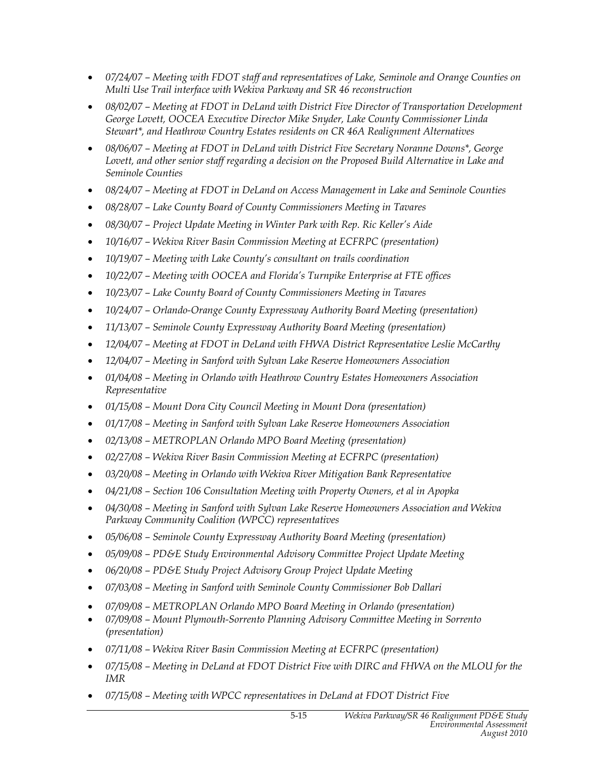- *07/24/07 Meeting with FDOT staff and representatives of Lake, Seminole and Orange Counties on Multi Use Trail interface with Wekiva Parkway and SR 46 reconstruction*
- *08/02/07 Meeting at FDOT in DeLand with District Five Director of Transportation Development George Lovett, OOCEA Executive Director Mike Snyder, Lake County Commissioner Linda Stewart\*, and Heathrow Country Estates residents on CR 46A Realignment Alternatives*
- *08/06/07 Meeting at FDOT in DeLand with District Five Secretary Noranne Downs\*, George*  Lovett, and other senior staff regarding a decision on the Proposed Build Alternative in Lake and *Seminole Counties*
- *08/24/07 Meeting at FDOT in DeLand on Access Management in Lake and Seminole Counties*
- *08/28/07 Lake County Board of County Commissioners Meeting in Tavares*
- *08/30/07 Project Update Meeting in Winter Park with Rep. Ric Keller's Aide*
- *10/16/07 Wekiva River Basin Commission Meeting at ECFRPC (presentation)*
- *10/19/07 Meeting with Lake County's consultant on trails coordination*
- *10/22/07 Meeting with OOCEA and Florida's Turnpike Enterprise at FTE offices*
- *10/23/07 Lake County Board of County Commissioners Meeting in Tavares*
- *10/24/07 Orlando-Orange County Expressway Authority Board Meeting (presentation)*
- *11/13/07 Seminole County Expressway Authority Board Meeting (presentation)*
- *12/04/07 Meeting at FDOT in DeLand with FHWA District Representative Leslie McCarthy*
- *12/04/07 Meeting in Sanford with Sylvan Lake Reserve Homeowners Association*
- *01/04/08 Meeting in Orlando with Heathrow Country Estates Homeowners Association Representative*
- *01/15/08 Mount Dora City Council Meeting in Mount Dora (presentation)*
- *01/17/08 Meeting in Sanford with Sylvan Lake Reserve Homeowners Association*
- *02/13/08 METROPLAN Orlando MPO Board Meeting (presentation)*
- *02/27/08 Wekiva River Basin Commission Meeting at ECFRPC (presentation)*
- *03/20/08 Meeting in Orlando with Wekiva River Mitigation Bank Representative*
- *04/21/08 Section 106 Consultation Meeting with Property Owners, et al in Apopka*
- *04/30/08 Meeting in Sanford with Sylvan Lake Reserve Homeowners Association and Wekiva Parkway Community Coalition (WPCC) representatives*
- *05/06/08 Seminole County Expressway Authority Board Meeting (presentation)*
- *05/09/08 PD&E Study Environmental Advisory Committee Project Update Meeting*
- *06/20/08 PD&E Study Project Advisory Group Project Update Meeting*
- *07/03/08 Meeting in Sanford with Seminole County Commissioner Bob Dallari*
- *07/09/08 METROPLAN Orlando MPO Board Meeting in Orlando (presentation)*
- *07/09/08 Mount Plymouth-Sorrento Planning Advisory Committee Meeting in Sorrento (presentation)*
- *07/11/08 Wekiva River Basin Commission Meeting at ECFRPC (presentation)*
- *07/15/08 Meeting in DeLand at FDOT District Five with DIRC and FHWA on the MLOU for the IMR*
- *07/15/08 Meeting with WPCC representatives in DeLand at FDOT District Five*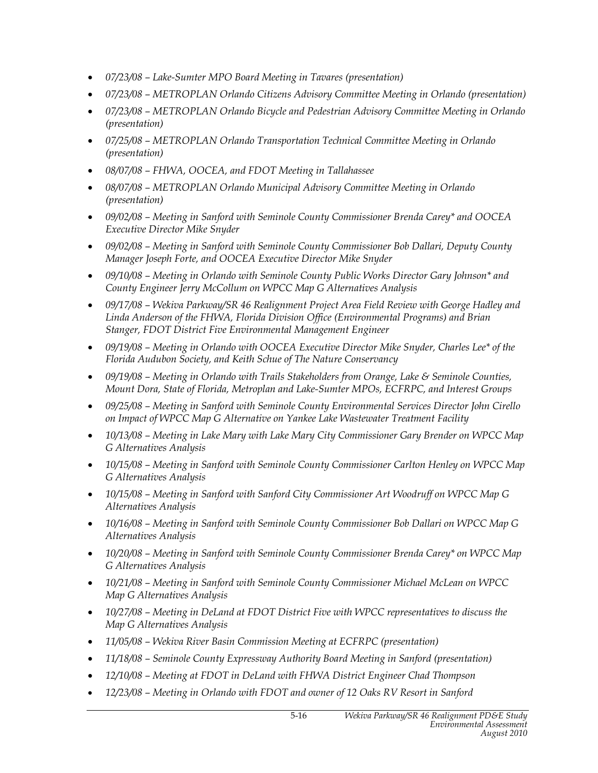- *07/23/08 Lake-Sumter MPO Board Meeting in Tavares (presentation)*
- *07/23/08 METROPLAN Orlando Citizens Advisory Committee Meeting in Orlando (presentation)*
- *07/23/08 METROPLAN Orlando Bicycle and Pedestrian Advisory Committee Meeting in Orlando (presentation)*
- *07/25/08 METROPLAN Orlando Transportation Technical Committee Meeting in Orlando (presentation)*
- *08/07/08 FHWA, OOCEA, and FDOT Meeting in Tallahassee*
- *08/07/08 METROPLAN Orlando Municipal Advisory Committee Meeting in Orlando (presentation)*
- *09/02/08 Meeting in Sanford with Seminole County Commissioner Brenda Carey\* and OOCEA Executive Director Mike Snyder*
- *09/02/08 Meeting in Sanford with Seminole County Commissioner Bob Dallari, Deputy County Manager Joseph Forte, and OOCEA Executive Director Mike Snyder*
- *09/10/08 Meeting in Orlando with Seminole County Public Works Director Gary Johnson\* and County Engineer Jerry McCollum on WPCC Map G Alternatives Analysis*
- *09/17/08 Wekiva Parkway/SR 46 Realignment Project Area Field Review with George Hadley and Linda Anderson of the FHWA, Florida Division Office (Environmental Programs) and Brian Stanger, FDOT District Five Environmental Management Engineer*
- *09/19/08 Meeting in Orlando with OOCEA Executive Director Mike Snyder, Charles Lee\* of the Florida Audubon Society, and Keith Schue of The Nature Conservancy*
- *09/19/08 Meeting in Orlando with Trails Stakeholders from Orange, Lake & Seminole Counties, Mount Dora, State of Florida, Metroplan and Lake-Sumter MPOs, ECFRPC, and Interest Groups*
- *09/25/08 Meeting in Sanford with Seminole County Environmental Services Director John Cirello on Impact of WPCC Map G Alternative on Yankee Lake Wastewater Treatment Facility*
- *10/13/08 Meeting in Lake Mary with Lake Mary City Commissioner Gary Brender on WPCC Map G Alternatives Analysis*
- *10/15/08 Meeting in Sanford with Seminole County Commissioner Carlton Henley on WPCC Map G Alternatives Analysis*
- *10/15/08 Meeting in Sanford with Sanford City Commissioner Art Woodruff on WPCC Map G Alternatives Analysis*
- *10/16/08 Meeting in Sanford with Seminole County Commissioner Bob Dallari on WPCC Map G Alternatives Analysis*
- *10/20/08 Meeting in Sanford with Seminole County Commissioner Brenda Carey\* on WPCC Map G Alternatives Analysis*
- *10/21/08 Meeting in Sanford with Seminole County Commissioner Michael McLean on WPCC Map G Alternatives Analysis*
- *10/27/08 Meeting in DeLand at FDOT District Five with WPCC representatives to discuss the Map G Alternatives Analysis*
- *11/05/08 Wekiva River Basin Commission Meeting at ECFRPC (presentation)*
- *11/18/08 Seminole County Expressway Authority Board Meeting in Sanford (presentation)*
- *12/10/08 Meeting at FDOT in DeLand with FHWA District Engineer Chad Thompson*
- *12/23/08 Meeting in Orlando with FDOT and owner of 12 Oaks RV Resort in Sanford*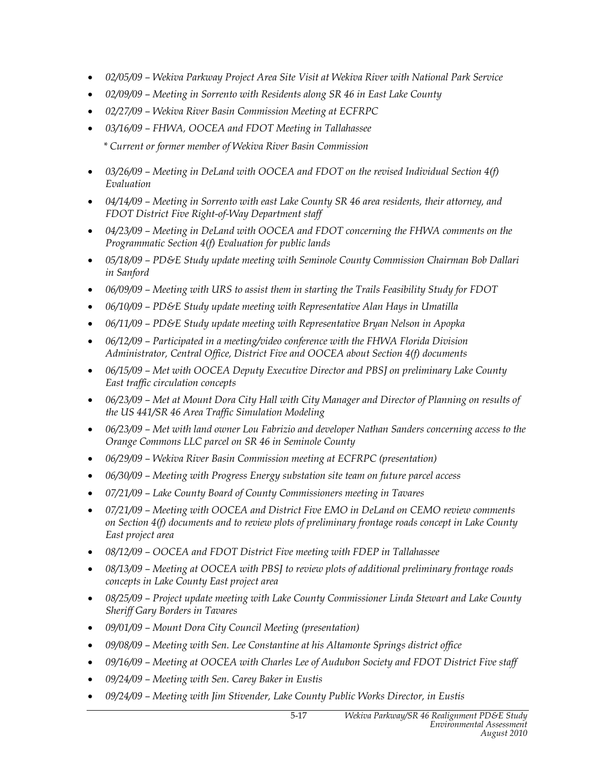- *02/05/09 Wekiva Parkway Project Area Site Visit at Wekiva River with National Park Service*
- *02/09/09 Meeting in Sorrento with Residents along SR 46 in East Lake County*
- *02/27/09 Wekiva River Basin Commission Meeting at ECFRPC*
- *03/16/09 FHWA, OOCEA and FDOT Meeting in Tallahassee* 
	- *\* Current or former member of Wekiva River Basin Commission*
- *03/26/09 Meeting in DeLand with OOCEA and FDOT on the revised Individual Section 4(f) Evaluation*
- *04/14/09 Meeting in Sorrento with east Lake County SR 46 area residents, their attorney, and FDOT District Five Right-of-Way Department staff*
- *04/23/09 Meeting in DeLand with OOCEA and FDOT concerning the FHWA comments on the Programmatic Section 4(f) Evaluation for public lands*
- *05/18/09 PD&E Study update meeting with Seminole County Commission Chairman Bob Dallari in Sanford*
- *06/09/09 Meeting with URS to assist them in starting the Trails Feasibility Study for FDOT*
- *06/10/09 PD&E Study update meeting with Representative Alan Hays in Umatilla*
- *06/11/09 PD&E Study update meeting with Representative Bryan Nelson in Apopka*
- *06/12/09 Participated in a meeting/video conference with the FHWA Florida Division Administrator, Central Office, District Five and OOCEA about Section 4(f) documents*
- *06/15/09 Met with OOCEA Deputy Executive Director and PBSJ on preliminary Lake County East traffic circulation concepts*
- *06/23/09 Met at Mount Dora City Hall with City Manager and Director of Planning on results of the US 441/SR 46 Area Traffic Simulation Modeling*
- *06/23/09 Met with land owner Lou Fabrizio and developer Nathan Sanders concerning access to the Orange Commons LLC parcel on SR 46 in Seminole County*
- *06/29/09 Wekiva River Basin Commission meeting at ECFRPC (presentation)*
- *06/30/09 Meeting with Progress Energy substation site team on future parcel access*
- *07/21/09 Lake County Board of County Commissioners meeting in Tavares*
- *07/21/09 Meeting with OOCEA and District Five EMO in DeLand on CEMO review comments on Section 4(f) documents and to review plots of preliminary frontage roads concept in Lake County East project area*
- *08/12/09 OOCEA and FDOT District Five meeting with FDEP in Tallahassee*
- *08/13/09 Meeting at OOCEA with PBSJ to review plots of additional preliminary frontage roads concepts in Lake County East project area*
- *08/25/09 Project update meeting with Lake County Commissioner Linda Stewart and Lake County Sheriff Gary Borders in Tavares*
- *09/01/09 Mount Dora City Council Meeting (presentation)*
- *09/08/09 Meeting with Sen. Lee Constantine at his Altamonte Springs district office*
- *09/16/09 Meeting at OOCEA with Charles Lee of Audubon Society and FDOT District Five staff*
- *09/24/09 Meeting with Sen. Carey Baker in Eustis*
- *09/24/09 Meeting with Jim Stivender, Lake County Public Works Director, in Eustis*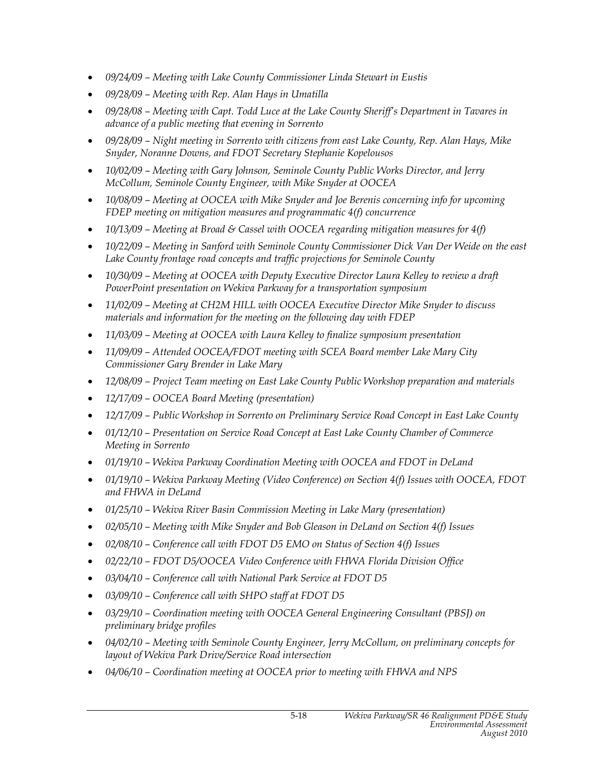- *09/24/09 Meeting with Lake County Commissioner Linda Stewart in Eustis*
- *09/28/09 Meeting with Rep. Alan Hays in Umatilla*
- *09/28/08 Meeting with Capt. Todd Luce at the Lake County Sheriff's Department in Tavares in advance of a public meeting that evening in Sorrento*
- *09/28/09 Night meeting in Sorrento with citizens from east Lake County, Rep. Alan Hays, Mike Snyder, Noranne Downs, and FDOT Secretary Stephanie Kopelousos*
- *10/02/09 Meeting with Gary Johnson, Seminole County Public Works Director, and Jerry McCollum, Seminole County Engineer, with Mike Snyder at OOCEA*
- *10/08/09 Meeting at OOCEA with Mike Snyder and Joe Berenis concerning info for upcoming FDEP meeting on mitigation measures and programmatic 4(f) concurrence*
- *10/13/09 Meeting at Broad & Cassel with OOCEA regarding mitigation measures for 4(f)*
- *10/22/09 Meeting in Sanford with Seminole County Commissioner Dick Van Der Weide on the east*  Lake County frontage road concepts and traffic projections for Seminole County
- *10/30/09 Meeting at OOCEA with Deputy Executive Director Laura Kelley to review a draft PowerPoint presentation on Wekiva Parkway for a transportation symposium*
- *11/02/09 Meeting at CH2M HILL with OOCEA Executive Director Mike Snyder to discuss materials and information for the meeting on the following day with FDEP*
- *11/03/09 Meeting at OOCEA with Laura Kelley to finalize symposium presentation*
- *11/09/09 Attended OOCEA/FDOT meeting with SCEA Board member Lake Mary City Commissioner Gary Brender in Lake Mary*
- *12/08/09 Project Team meeting on East Lake County Public Workshop preparation and materials*
- *12/17/09 OOCEA Board Meeting (presentation)*
- *12/17/09 Public Workshop in Sorrento on Preliminary Service Road Concept in East Lake County*
- *01/12/10 Presentation on Service Road Concept at East Lake County Chamber of Commerce Meeting in Sorrento*
- *01/19/10 Wekiva Parkway Coordination Meeting with OOCEA and FDOT in DeLand*
- *01/19/10 Wekiva Parkway Meeting (Video Conference) on Section 4(f) Issues with OOCEA, FDOT and FHWA in DeLand*
- *01/25/10 Wekiva River Basin Commission Meeting in Lake Mary (presentation)*
- *02/05/10 Meeting with Mike Snyder and Bob Gleason in DeLand on Section 4(f) Issues*
- *02/08/10 Conference call with FDOT D5 EMO on Status of Section 4(f) Issues*
- *02/22/10 FDOT D5/OOCEA Video Conference with FHWA Florida Division Office*
- *03/04/10 Conference call with National Park Service at FDOT D5*
- *03/09/10 Conference call with SHPO staff at FDOT D5*
- *03/29/10 Coordination meeting with OOCEA General Engineering Consultant (PBSJ) on preliminary bridge profiles*
- *04/02/10 Meeting with Seminole County Engineer, Jerry McCollum, on preliminary concepts for layout of Wekiva Park Drive/Service Road intersection*
- *04/06/10 Coordination meeting at OOCEA prior to meeting with FHWA and NPS*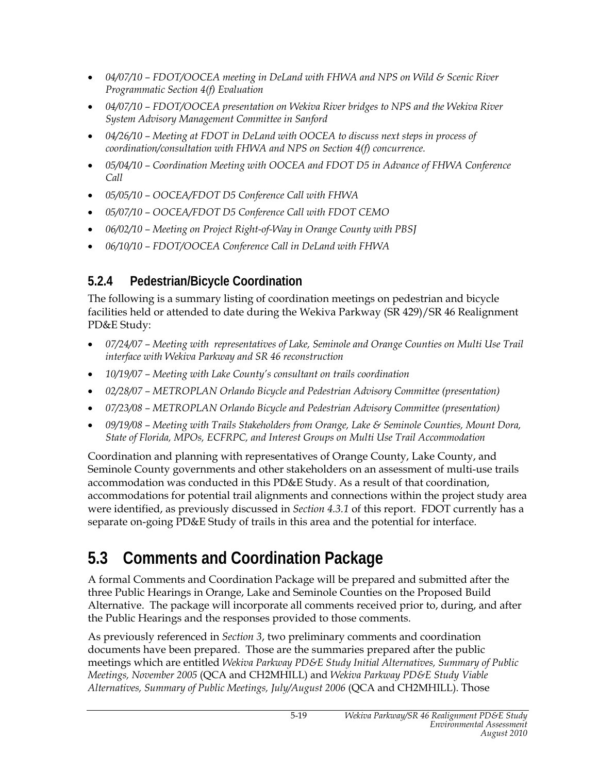- *04/07/10 FDOT/OOCEA meeting in DeLand with FHWA and NPS on Wild & Scenic River Programmatic Section 4(f) Evaluation*
- *04/07/10 FDOT/OOCEA presentation on Wekiva River bridges to NPS and the Wekiva River System Advisory Management Committee in Sanford*
- *04/26/10 Meeting at FDOT in DeLand with OOCEA to discuss next steps in process of coordination/consultation with FHWA and NPS on Section 4(f) concurrence.*
- *05/04/10 Coordination Meeting with OOCEA and FDOT D5 in Advance of FHWA Conference Call*
- *05/05/10 OOCEA/FDOT D5 Conference Call with FHWA*
- *05/07/10 OOCEA/FDOT D5 Conference Call with FDOT CEMO*
- *06/02/10 Meeting on Project Right-of-Way in Orange County with PBSJ*
- *06/10/10 FDOT/OOCEA Conference Call in DeLand with FHWA*

### **5.2.4 Pedestrian/Bicycle Coordination**

The following is a summary listing of coordination meetings on pedestrian and bicycle facilities held or attended to date during the Wekiva Parkway (SR 429)/SR 46 Realignment PD&E Study:

- *07/24/07 Meeting with representatives of Lake, Seminole and Orange Counties on Multi Use Trail interface with Wekiva Parkway and SR 46 reconstruction*
- *10/19/07 Meeting with Lake County's consultant on trails coordination*
- *02/28/07 METROPLAN Orlando Bicycle and Pedestrian Advisory Committee (presentation)*
- *07/23/08 METROPLAN Orlando Bicycle and Pedestrian Advisory Committee (presentation)*
- *09/19/08 Meeting with Trails Stakeholders from Orange, Lake & Seminole Counties, Mount Dora, State of Florida, MPOs, ECFRPC, and Interest Groups on Multi Use Trail Accommodation*

Coordination and planning with representatives of Orange County, Lake County, and Seminole County governments and other stakeholders on an assessment of multi-use trails accommodation was conducted in this PD&E Study. As a result of that coordination, accommodations for potential trail alignments and connections within the project study area were identified, as previously discussed in *Section 4.3.1* of this report. FDOT currently has a separate on-going PD&E Study of trails in this area and the potential for interface.

# **5.3 Comments and Coordination Package**

A formal Comments and Coordination Package will be prepared and submitted after the three Public Hearings in Orange, Lake and Seminole Counties on the Proposed Build Alternative. The package will incorporate all comments received prior to, during, and after the Public Hearings and the responses provided to those comments.

As previously referenced in *Section 3*, two preliminary comments and coordination documents have been prepared. Those are the summaries prepared after the public meetings which are entitled *Wekiva Parkway PD&E Study Initial Alternatives, Summary of Public Meetings, November 2005* (QCA and CH2MHILL) and *Wekiva Parkway PD&E Study Viable Alternatives, Summary of Public Meetings, July/August 2006* (QCA and CH2MHILL). Those